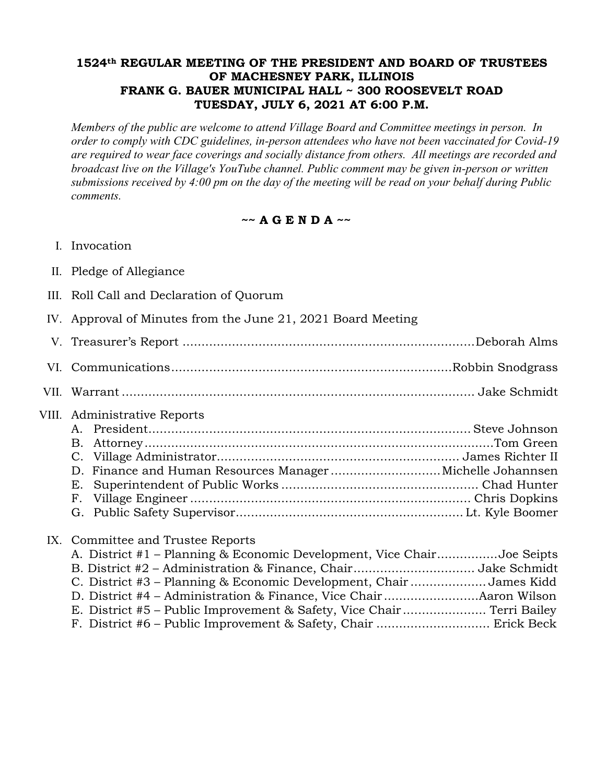## **1524th REGULAR MEETING OF THE PRESIDENT AND BOARD OF TRUSTEES OF MACHESNEY PARK, ILLINOIS FRANK G. BAUER MUNICIPAL HALL ~ 300 ROOSEVELT ROAD TUESDAY, JULY 6, 2021 AT 6:00 P.M.**

*Members of the public are welcome to attend Village Board and Committee meetings in person. In order to comply with CDC guidelines, in-person attendees who have not been vaccinated for Covid-19 are required to wear face coverings and socially distance from others. All meetings are recorded and broadcast live on the Village's YouTube channel. Public comment may be given in-person or written submissions received by 4:00 pm on the day of the meeting will be read on your behalf during Public comments.*

**~~ A G E N D A ~~**

- I. Invocation
- II. Pledge of Allegiance
- III. Roll Call and Declaration of Quorum
- IV. Approval of Minutes from the June 21, 2021 Board Meeting
- V. Treasurer's Report .............................................................................Deborah Alms VI. Communications..........................................................................Robbin Snodgrass
- VII. Warrant ............................................................................................. Jake Schmidt
- VIII. Administrative Reports

## IX. Committee and Trustee Reports

| A. District #1 – Planning & Economic Development, Vice ChairJoe Seipts |  |
|------------------------------------------------------------------------|--|
|                                                                        |  |
| C. District #3 – Planning & Economic Development, Chair James Kidd     |  |
|                                                                        |  |
|                                                                        |  |
|                                                                        |  |